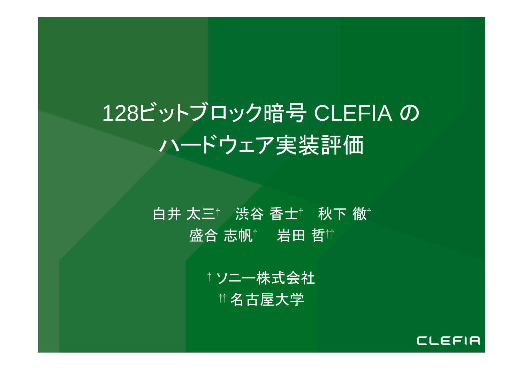# 128ビットブロック暗号 CLEFIA の ハードウェア実装評価

### 白井 太三† 渋谷 香士† 秋下 徹† 盛合 志帆† 岩田 哲††

† ソニー株式会社 †† 名古屋大学

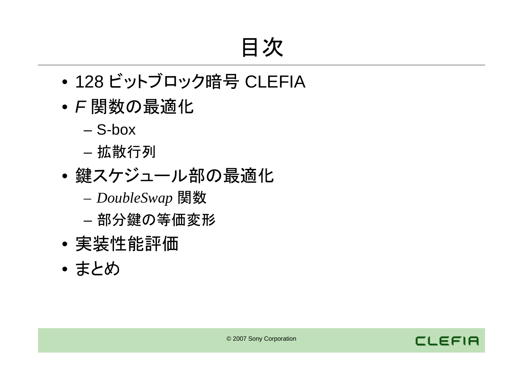## 目次

- 128 ビットブロック暗号 CLEFIA
- *F* 関数の最適化
	- S-box
	- 拡散行列
- • 鍵スケジュール部の最適化
	- *DoubleSwap* 関数
	- 部分鍵の等価変形
- •実装性能評価
- まとめ

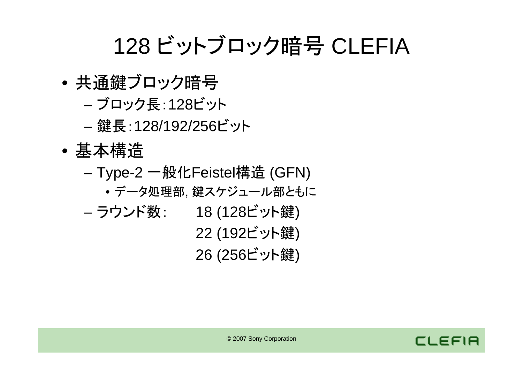# 128 ビットブロック暗号 CLEFIA

- • 共通鍵ブロック暗号
	- –ブロック長:128ビット
	- –鍵長:128/192/256ビット
- • 基本構造
	- Type-2 一般化Feistel構造 (GFN)
		- データ処理部, 鍵スケジュール部ともに
	- – ラウンド数: <sup>18</sup> (128ビット鍵) 22 (192ビット鍵) 26 (256ビット鍵)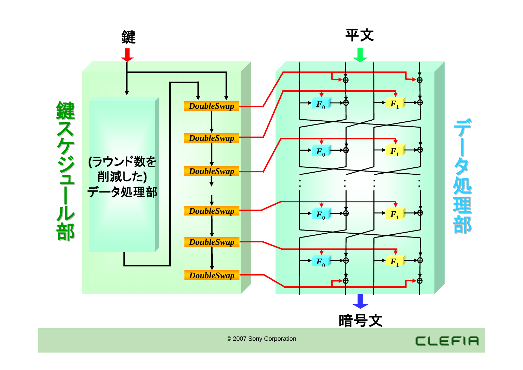

#### © 2007 Sony Corporation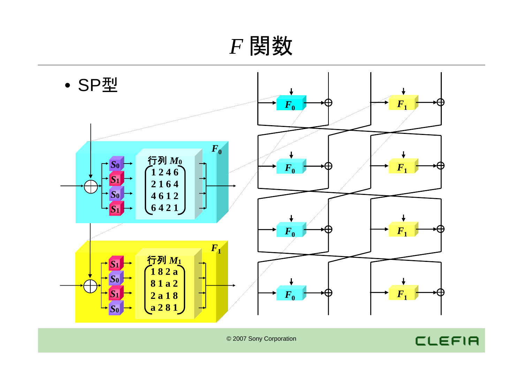*F* 関数



CLEFIA

© 2007 Sony Corporation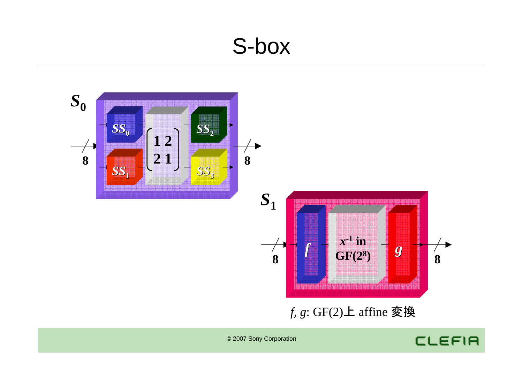### S-box



CLEFIA

© 2007 Sony Corporation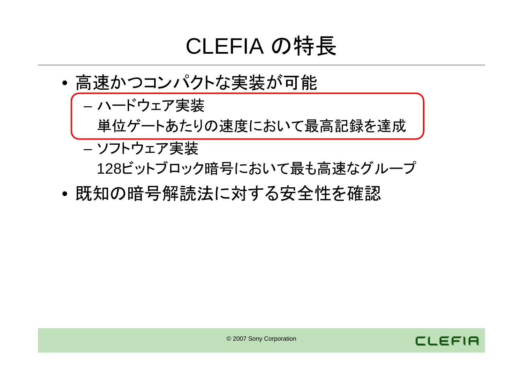# CLEFIA の特長

- • 高速かつコンパクトな実装が可能
	- – ハードウェア実装 単位ゲートあたりの速度において最高記録を達成
	- – ソフトウェア実装 128ビットブロック暗号において最も高速なグループ
- •既知の暗号解読法に対する安全性を確認

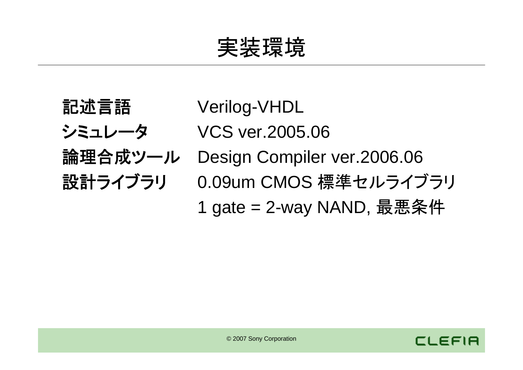実装環境

- 
- 
- 
- 
- 記述言語 Verilog-VHDL
- **シミュレータ VCS ver.2005.06**
- 論理合成ツール Design Compiler ver.2006.06
- 設計ライブラリ 0.09um CMOS 標準セルライブラリ
	- 1 gate = 2-way NAND, 最悪条件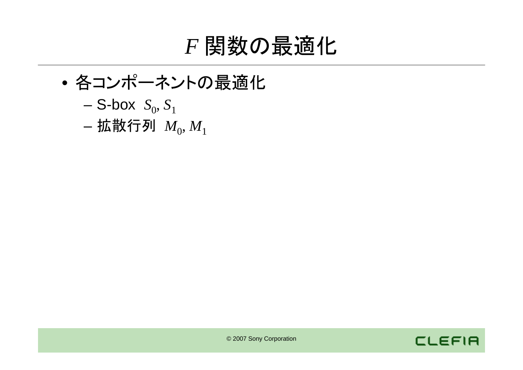### *F* 関数の最適化

- • 各コンポーネントの最適化
	- S-box  $S_0, S_1$
	- 拡散行列  $\ M_{0}, M_{1}$

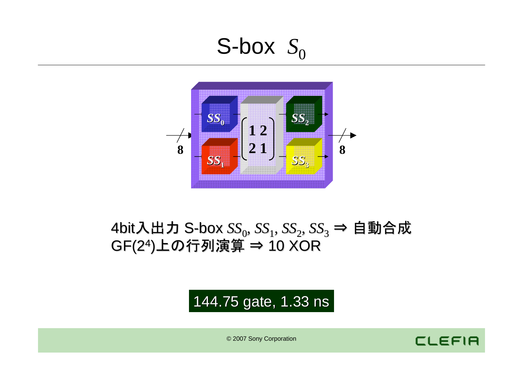

### 4bit入出力 S-box *SS*<sub>0</sub>, *SS*<sub>1</sub>, *SS*<sub>2</sub>, *SS*<sub>3</sub> ⇒ 自動合成 GF(24)上の行列演算 <sup>⇒</sup> 10 XOR

### 144.75 gate, 1.33 ns

© 2007 Sony Corporation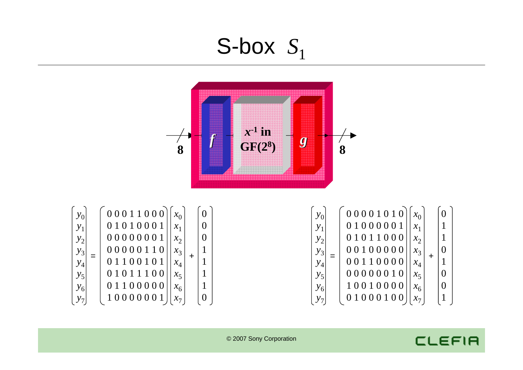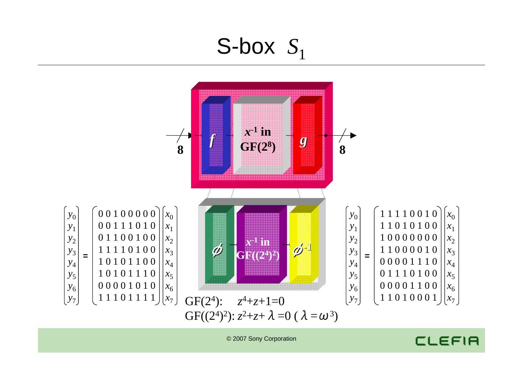

© 2007 Sony Corporation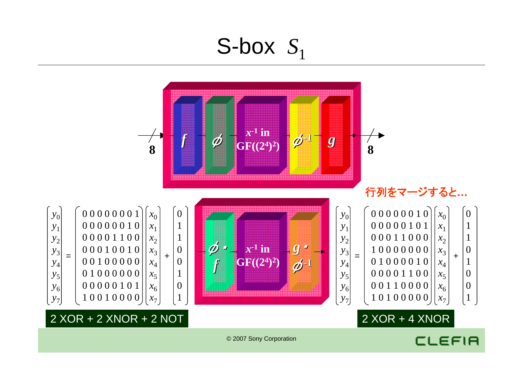

#### © 2007 Sony Corporation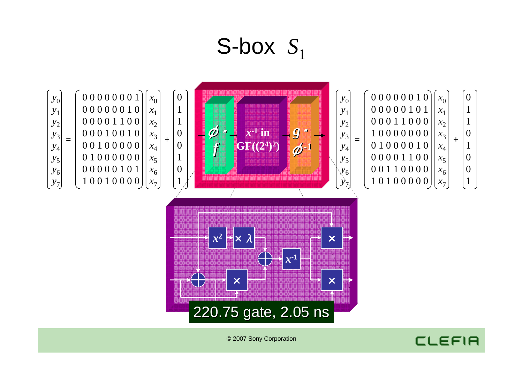

© 2007 Sony Corporation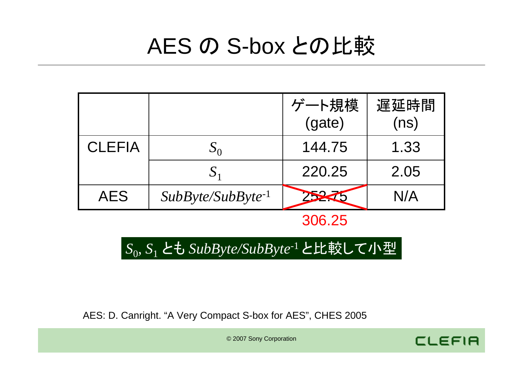## AES の S-box との比較

|               |                        | ゲート規模<br>(gate) | 遅延時間<br>(ns) |
|---------------|------------------------|-----------------|--------------|
| <b>CLEFIA</b> |                        | 144.75          | 1.33         |
|               | $\mathbf{S}_1$         | 220.25          | 2.05         |
| <b>AES</b>    | $SubByte/SubByte^{-1}$ | $\blacksquare$  | N/A          |

306.25

**CLEFIA** 

*S*0, *S*1 とも *SubByte/SubByte*-1 と比較して小型

AES: D. Canright. "A Very Compact S-box for AES", CHES 2005

© 2007 Sony Corporation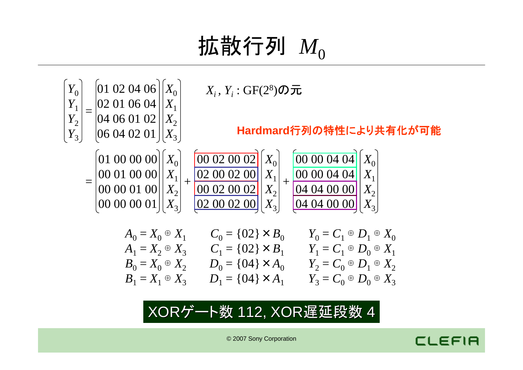# 拡散行列  $M_{0}$



XORゲート数 112, XOR遅延段数 4



© 2007 Sony Corporation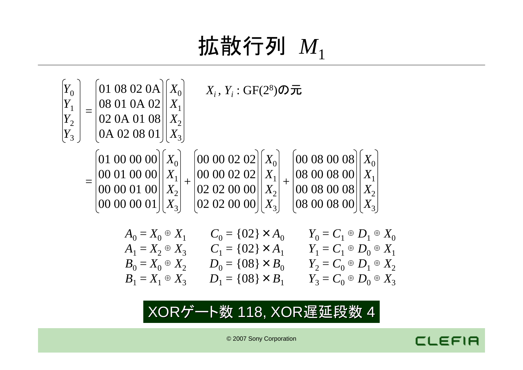#### © 2007 Sony Corporation

### XORゲート数 118, XOR遅延段数 4

$$
= \begin{vmatrix} 01 & 08 & 02 & 0A \\ 08 & 01 & 0A & 02 \\ 02 & 0A & 01 & 08 \\ 0A & 02 & 08 & 01 \end{vmatrix} \begin{vmatrix} X_0 \\ X_1 \\ X_2 \\ X_3 \end{vmatrix}
$$
  
= 
$$
\begin{bmatrix} 01 & 00 & 00 & 00 \\ 00 & 01 & 00 & 00 \\ 00 & 00 & 01 & 00 \\ 00 & 00 & 01 & 00 \end{bmatrix} \begin{bmatrix} X_0 \\ X_1 \\ X_2 \\ X_3 \end{bmatrix} + \begin{bmatrix} 00 & 00 & 02 & 02 \\ 00 & 00 & 02 & 02 \\ 02 & 02 & 00 & 00 \\ 02 & 02 & 00 & 00 \end{bmatrix} \begin{bmatrix} X_0 \\ X_1 \\ X_2 \\ X_3 \end{bmatrix} + \begin{bmatrix} 00 & 08 & 00 & 08 \\ 08 & 00 & 8 & 00 \\ 00 & 08 & 00 & 8 \\ 08 & 00 & 08 & 00 \\ 08 & 00 & 08 & 00 \end{bmatrix} \begin{bmatrix} X_0 \\ X_1 \\ X_2 \\ X_3 \end{bmatrix}
$$
  

$$
A_0 = X_0 \oplus X_1 \qquad C_0 = \{02\} \times A_0 \qquad Y_0 = C_1 \oplus D_1 \oplus X_0
$$
  

$$
A_1 = X_2 \oplus X_3 \qquad C_1 = \{02\} \times A_1 \qquad Y_1 = C_1 \oplus D_0 \oplus X_1
$$
  

$$
B_0 = X_0 \oplus X_2 \qquad D_0 = \{08\} \times B_0 \qquad Y_2 = C_0 \oplus D_1 \oplus X_2
$$
  

$$
B_1 = X_1 \oplus X_3 \qquad D_1 = \{08\} \times B_1 \qquad Y_3 = C_0 \oplus D_0 \oplus X_3
$$

*Y*0 *Y*1

 $Y^{}_{2}$ 

 $Y^{}_{3}$ 

拡散行列 *<sup>M</sup>*<sup>1</sup>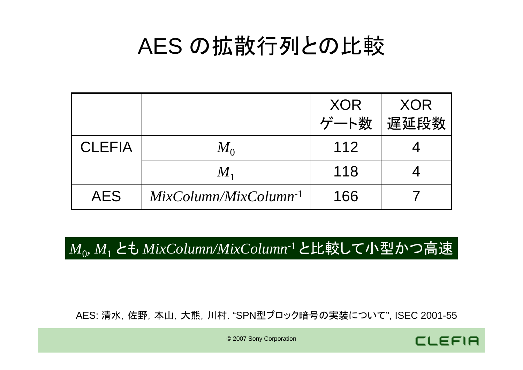## AES の拡散行列との比較

|               |                            | <b>XOR</b> | XOR  |  |
|---------------|----------------------------|------------|------|--|
|               |                            | ゲート数       | 遅延段数 |  |
| <b>CLEFIA</b> | $M_{\rm \scriptsize o}$    | 112        |      |  |
|               | $M_{1}$                    | 118        |      |  |
| <b>AES</b>    | $MixColumn/MixColumn^{-1}$ | 166        |      |  |

*M*0, *M*1 とも *MixColumn/MixColumn*-1 と比較して小型かつ高速

AES: 清水,佐野,本山,大熊,川村. "SPN型ブロック暗号の実装について", ISEC 2001-55



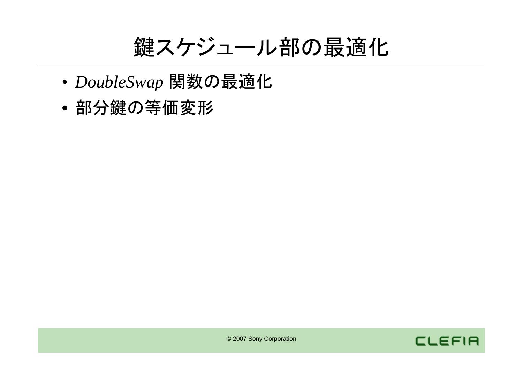鍵スケジュール部の最適化

- •*DoubleSwap* 関数の最適化
- •部分鍵の等価変形

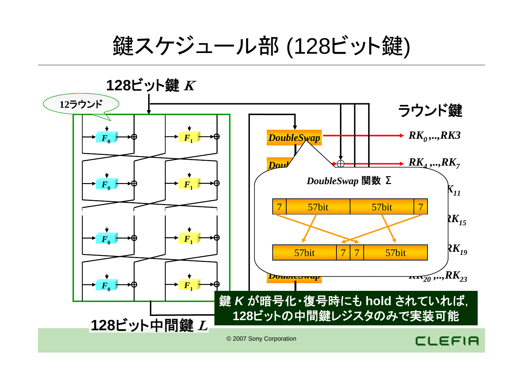鍵スケジュール部 (128ビット鍵)



© 2007 Sony Corporation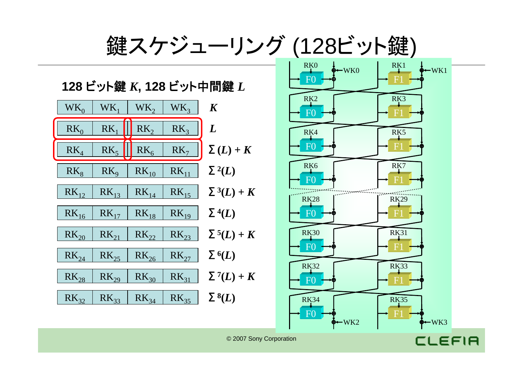

© 2007 Sony Corporation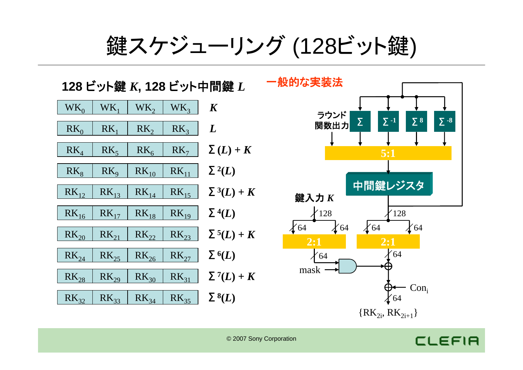鍵スケジューリング (128ビット鍵)

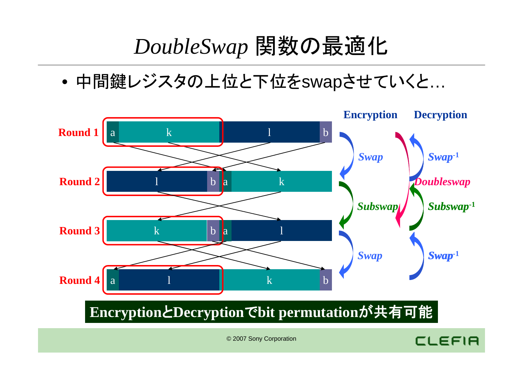### *DoubleSwap* 関数の最適化

•中間鍵レジスタの上位と下位をswapさせていくと…



### **Encryption**と**Decryption**で**bit permutation**が共有可能

© 2007 Sony Corporation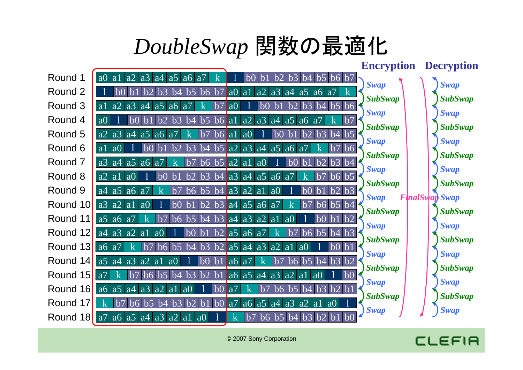## *DoubleSwap* 関数の最適化

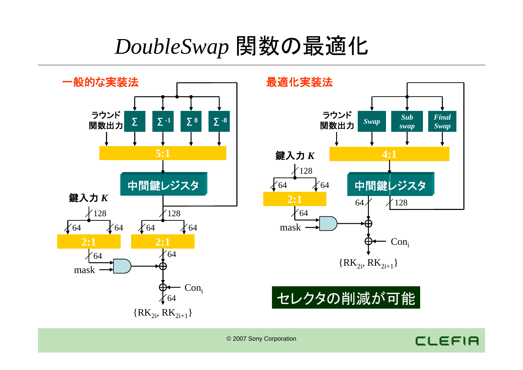### *DoubleSwap* 関数の最適化



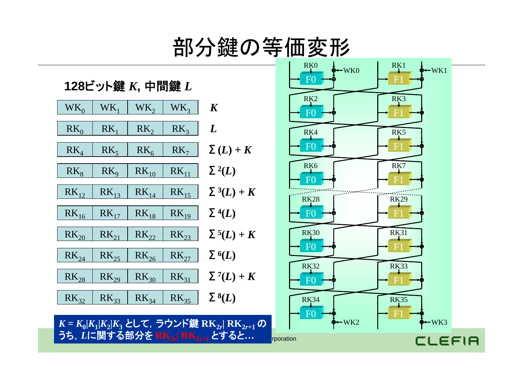## 部分鍵の等価変形

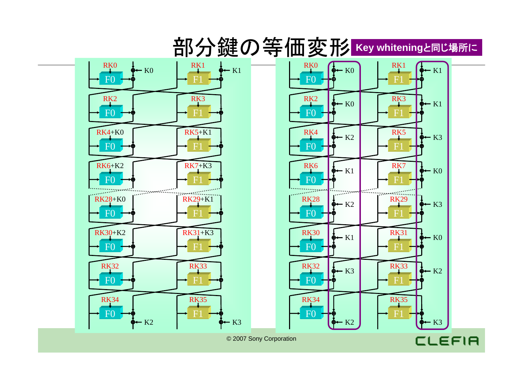### 部分鍵の等価変形 **Key whitening**と同じ場所に



© 2007 Sony Corporation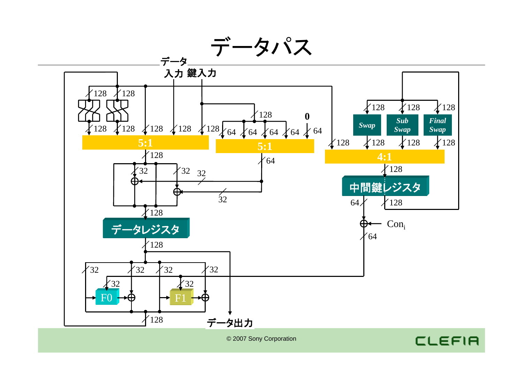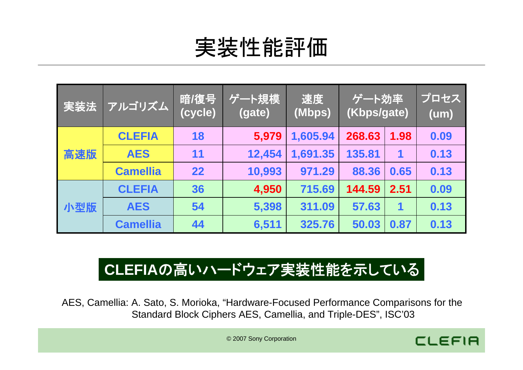# 実装性能評価

| 実装法 | アルゴリズム          | 暗/復号<br>(cycle) | ゲート規模<br>(gate) | 速度<br>(Mbps) | $\overline{ \mathcal{F}-}$ ト効率 $ $<br>(Kbps/gate) |      | プロセス<br>(um) |
|-----|-----------------|-----------------|-----------------|--------------|---------------------------------------------------|------|--------------|
| 高速版 | <b>CLEFIA</b>   | 18              | 5,979           | 1,605.94     | 268.63                                            | 1.98 | 0.09         |
|     | <b>AES</b>      | 11              | 12,454          | 1,691.35     | 135.81                                            | 1    | 0.13         |
|     | <b>Camellia</b> | 22              | 10,993          | 971.29       | 88.36                                             | 0.65 | 0.13         |
| 小型版 | <b>CLEFIA</b>   | 36              | 4,950           | 715.69       | 144.59                                            | 2.51 | 0.09         |
|     | <b>AES</b>      | 54              | 5,398           | 311.09       | 57.63                                             | 1    | 0.13         |
|     | <b>Camellia</b> | 44              | 6,511           | 325.76       | 50.03                                             | 0.87 | 0.13         |

### **CLEFIA**の高いハードウェア実装性能を示している

AES, Camellia: A. Sato, S. Morioka, "Hardware-Focused Performance Comparisons for the Standard Block Ciphers AES, Camellia, and Triple-DES", ISC'03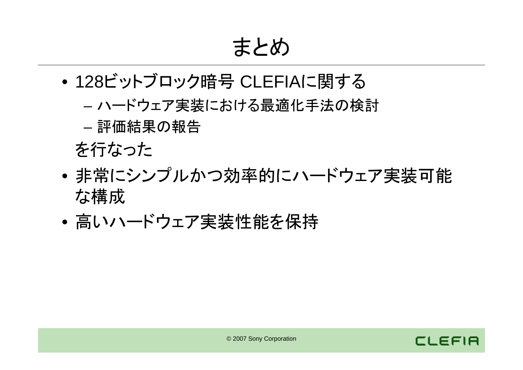まとめ

- • 128ビットブロック暗号 CLEFIAに関する
	- –ハードウェア実装における最適化手法の検討
	- 評価結果の報告
	- を行なった
- • 非常にシンプルかつ効率的にハードウェア実装可能 な構成
- •高いハードウェア実装性能を保持